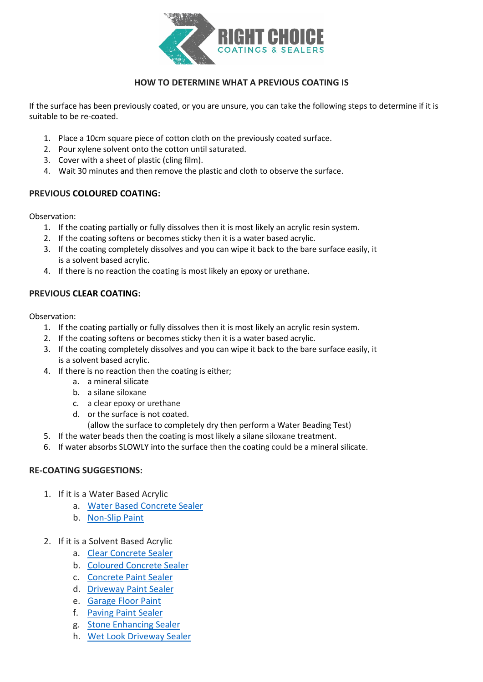

## **HOW TO DETERMINE WHAT A PREVIOUS COATING IS**

If the surface has been previously coated, or you are unsure, you can take the following steps to determine if it is suitable to be re-coated.

- 1. Place a 10cm square piece of cotton cloth on the previously coated surface.
- 2. Pour xylene solvent onto the cotton until saturated.
- 3. Cover with a sheet of plastic (cling film).
- 4. Wait 30 minutes and then remove the plastic and cloth to observe the surface.

## **PREVIOUS COLOURED COATING:**

Observation:

- 1. If the coating partially or fully dissolves then it is most likely an acrylic resin system.
- 2. If the coating softens or becomes sticky then it is a water based acrylic.
- 3. If the coating completely dissolves and you can wipe it back to the bare surface easily, it is a solvent based acrylic.
- 4. If there is no reaction the coating is most likely an epoxy or urethane.

## **PREVIOUS CLEAR COATING:**

Observation:

- 1. If the coating partially or fully dissolves then it is most likely an acrylic resin system.
- 2. If the coating softens or becomes sticky then it is a water based acrylic.
- 3. If the coating completely dissolves and you can wipe it back to the bare surface easily, it is a solvent based acrylic.
- 4. If there is no reaction then the coating is either;
	- a. a mineral silicate
	- b. a silane siloxane
	- c. a clear epoxy or urethane
	- d. or the surface is not coated.
		- (allow the surface to completely dry then perform a Water Beading Test)
- 5. If the water beads then the coating is most likely a silane siloxane treatment.
- 6. If water absorbs SLOWLY into the surface then the coating could be a mineral silicate.

## **RE-COATING SUGGESTIONS:**

- 1. If it is a Water Based Acrylic
	- a. [Water Based Concrete Sealer](https://concretecoatingsealers.com.au/product/water-based-concrete-sealer/)
	- b. [Non-Slip Paint](https://concretecoatingsealers.com.au/product/non-slip-paint/)
- 2. If it is a Solvent Based Acrylic
	- a. [Clear Concrete Sealer](https://concretecoatingsealers.com.au/product/clear-concrete-sealer/)
	- b. [Coloured Concrete Sealer](https://concretecoatingsealers.com.au/product/coloured-concrete-sealer/)
	- c. [Concrete Paint Sealer](https://concretecoatingsealers.com.au/product/concrete-paint-sealer/)
	- d. [Driveway Paint Sealer](https://concretecoatingsealers.com.au/product/driveway-paint-sealer/)
	- e. [Garage Floor Paint](https://concretecoatingsealers.com.au/product/garage-floor-paint/)
	- f. [Paving Paint Sealer](https://concretecoatingsealers.com.au/product/paving-paint-sealer/)
	- g. [Stone Enhancing Sealer](https://concretecoatingsealers.com.au/product/stone-enhancing-sealer/)
	- h. [Wet Look Driveway Sealer](https://concretecoatingsealers.com.au/product/wet-look-driveway-sealer/)